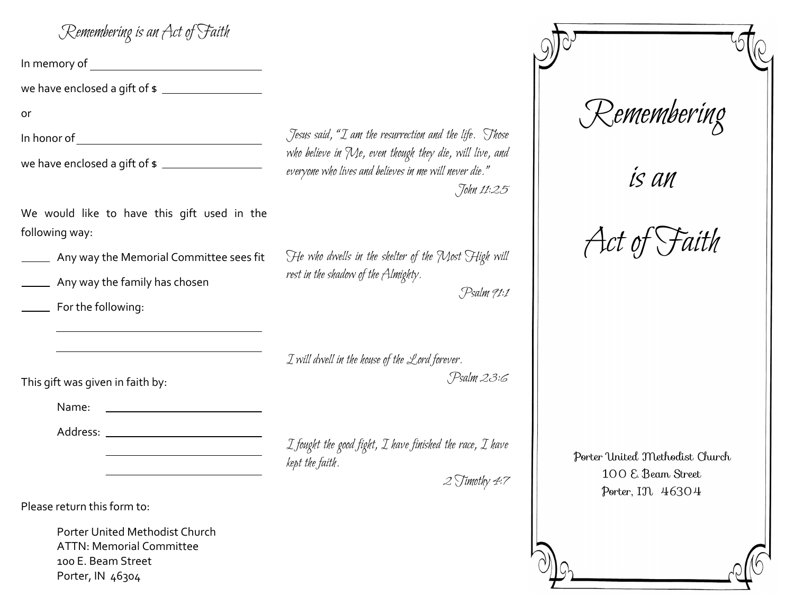| Jesus said, "I am the resurrectic                                     |
|-----------------------------------------------------------------------|
| who believe in Me, even though<br>everyone who lives and believes in  |
|                                                                       |
| He who dwells in the shelter of<br>rest in the shadow of the Almighty |
|                                                                       |
| I will dwell in the house of the $\mathcal L$                         |
|                                                                       |
|                                                                       |
|                                                                       |
|                                                                       |

Porter United Methodist Church **ATTN: Memorial Committee** 100 E. Beam Street Porter, IN 46304

ion and the life. Those they die, will live, and me will never die." John 11:25

f the Most High will

Psalm 91:1

ord forever. Psalm 23:6

finished the race, I have

 $2$  Timothy 4:7

## Remembering

is an

Act of Faith

Porter United Methodist Church 100 E. Beam Street Porter, IN 46304